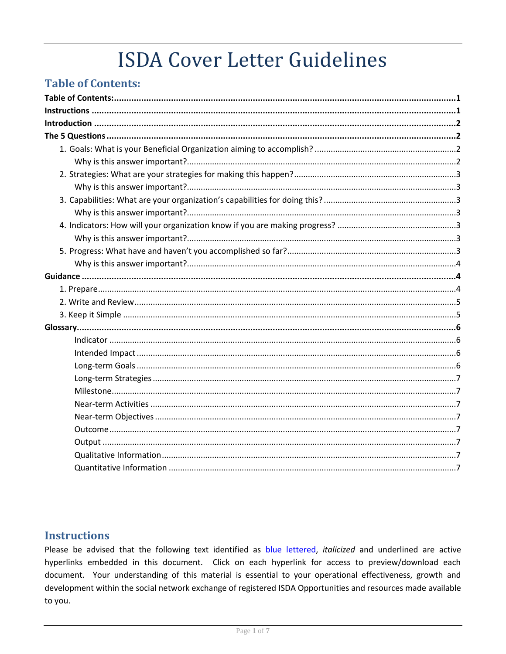# **ISDA Cover Letter Guidelines**

# <span id="page-0-0"></span>**Table of Contents:**

# <span id="page-0-1"></span>**Instructions**

Please be advised that the following text identified as blue lettered, italicized and underlined are active hyperlinks embedded in this document. Click on each hyperlink for access to preview/download each document. Your understanding of this material is essential to your operational effectiveness, growth and development within the social network exchange of registered ISDA Opportunities and resources made available to you.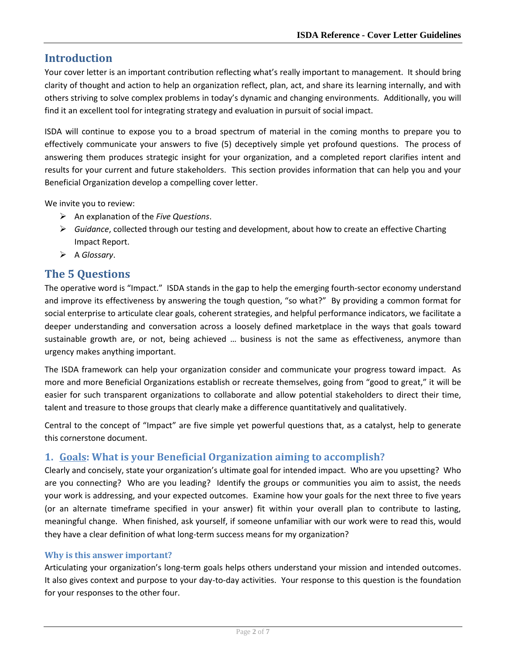# <span id="page-1-0"></span>**Introduction**

Your cover letter is an important contribution reflecting what's really important to management. It should bring clarity of thought and action to help an organization reflect, plan, act, and share its learning internally, and with others striving to solve complex problems in today's dynamic and changing environments. Additionally, you will find it an excellent tool for integrating strategy and evaluation in pursuit of social impact.

ISDA will continue to expose you to a broad spectrum of material in the coming months to prepare you to effectively communicate your answers to five (5) deceptively simple yet profound questions. The process of answering them produces strategic insight for your organization, and a completed report clarifies intent and results for your current and future stakeholders. This section provides information that can help you and your Beneficial Organization develop a compelling cover letter.

We invite you to review:

- An explanation of the *Five Questions*.
- *Guidance*, collected through our testing and development, about how to create an effective Charting Impact Report.
- A *Glossary*.

# <span id="page-1-1"></span>**The 5 Questions**

The operative word is "Impact." ISDA stands in the gap to help the emerging fourth-sector economy understand and improve its effectiveness by answering the tough question, "so what?" By providing a common format for social enterprise to articulate clear goals, coherent strategies, and helpful performance indicators, we facilitate a deeper understanding and conversation across a loosely defined marketplace in the ways that goals toward sustainable growth are, or not, being achieved … business is not the same as effectiveness, anymore than urgency makes anything important.

The ISDA framework can help your organization consider and communicate your progress toward impact. As more and more Beneficial Organizations establish or recreate themselves, going from "good to great," it will be easier for such transparent organizations to collaborate and allow potential stakeholders to direct their time, talent and treasure to those groups that clearly make a difference quantitatively and qualitatively.

Central to the concept of "Impact" are five simple yet powerful questions that, as a catalyst, help to generate this cornerstone document.

## <span id="page-1-2"></span>**1. Goals: What is your Beneficial Organization aiming to accomplish?**

Clearly and concisely, state your organization's ultimate goal for intended impact. Who are you upsetting? Who are you connecting? Who are you leading? Identify the groups or communities you aim to assist, the needs your work is addressing, and your expected outcomes. Examine how your goals for the next three to five years (or an alternate timeframe specified in your answer) fit within your overall plan to contribute to lasting, meaningful change. When finished, ask yourself, if someone unfamiliar with our work were to read this, would they have a clear definition of what long-term success means for my organization?

## <span id="page-1-3"></span>**Why is this answer important?**

Articulating your organization's long-term goals helps others understand your mission and intended outcomes. It also gives context and purpose to your day-to-day activities. Your response to this question is the foundation for your responses to the other four.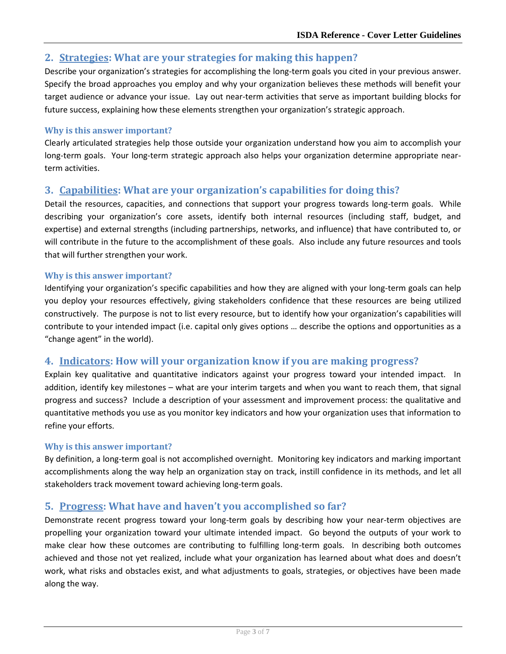## <span id="page-2-0"></span>**2. Strategies: What are your strategies for making this happen?**

Describe your organization's strategies for accomplishing the long-term goals you cited in your previous answer. Specify the broad approaches you employ and why your organization believes these methods will benefit your target audience or advance your issue. Lay out near-term activities that serve as important building blocks for future success, explaining how these elements strengthen your organization's strategic approach.

## <span id="page-2-1"></span>**Why is this answer important?**

Clearly articulated strategies help those outside your organization understand how you aim to accomplish your long-term goals. Your long-term strategic approach also helps your organization determine appropriate nearterm activities.

## <span id="page-2-2"></span>**3. Capabilities: What are your organization's capabilities for doing this?**

Detail the resources, capacities, and connections that support your progress towards long-term goals. While describing your organization's core assets, identify both internal resources (including staff, budget, and expertise) and external strengths (including partnerships, networks, and influence) that have contributed to, or will contribute in the future to the accomplishment of these goals. Also include any future resources and tools that will further strengthen your work.

## <span id="page-2-3"></span>**Why is this answer important?**

Identifying your organization's specific capabilities and how they are aligned with your long-term goals can help you deploy your resources effectively, giving stakeholders confidence that these resources are being utilized constructively. The purpose is not to list every resource, but to identify how your organization's capabilities will contribute to your intended impact (i.e. capital only gives options … describe the options and opportunities as a "change agent" in the world).

## <span id="page-2-4"></span>**4. Indicators: How will your organization know if you are making progress?**

Explain key qualitative and quantitative indicators against your progress toward your intended impact. In addition, identify key milestones – what are your interim targets and when you want to reach them, that signal progress and success? Include a description of your assessment and improvement process: the qualitative and quantitative methods you use as you monitor key indicators and how your organization uses that information to refine your efforts.

## <span id="page-2-5"></span>**Why is this answer important?**

By definition, a long-term goal is not accomplished overnight. Monitoring key indicators and marking important accomplishments along the way help an organization stay on track, instill confidence in its methods, and let all stakeholders track movement toward achieving long-term goals.

## <span id="page-2-6"></span>**5. Progress: What have and haven't you accomplished so far?**

Demonstrate recent progress toward your long-term goals by describing how your near-term objectives are propelling your organization toward your ultimate intended impact. Go beyond the outputs of your work to make clear how these outcomes are contributing to fulfilling long-term goals. In describing both outcomes achieved and those not yet realized, include what your organization has learned about what does and doesn't work, what risks and obstacles exist, and what adjustments to goals, strategies, or objectives have been made along the way.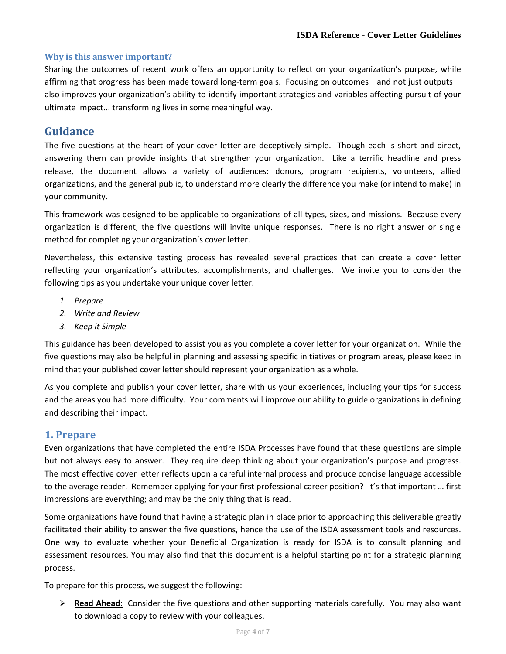## <span id="page-3-0"></span>**Why is this answer important?**

Sharing the outcomes of recent work offers an opportunity to reflect on your organization's purpose, while affirming that progress has been made toward long-term goals. Focusing on outcomes—and not just outputs also improves your organization's ability to identify important strategies and variables affecting pursuit of your ultimate impact... transforming lives in some meaningful way.

## <span id="page-3-1"></span>**Guidance**

The five questions at the heart of your cover letter are deceptively simple. Though each is short and direct, answering them can provide insights that strengthen your organization. Like a terrific headline and press release, the document allows a variety of audiences: donors, program recipients, volunteers, allied organizations, and the general public, to understand more clearly the difference you make (or intend to make) in your community.

This framework was designed to be applicable to organizations of all types, sizes, and missions. Because every organization is different, the five questions will invite unique responses. There is no right answer or single method for completing your organization's cover letter.

Nevertheless, this extensive testing process has revealed several practices that can create a cover letter reflecting your organization's attributes, accomplishments, and challenges. We invite you to consider the following tips as you undertake your unique cover letter.

- *1. Prepare*
- *2. Write and Review*
- *3. Keep it Simple*

This guidance has been developed to assist you as you complete a cover letter for your organization. While the five questions may also be helpful in planning and assessing specific initiatives or program areas, please keep in mind that your published cover letter should represent your organization as a whole.

As you complete and publish your cover letter, share with us your experiences, including your tips for success and the areas you had more difficulty. Your comments will improve our ability to guide organizations in defining and describing their impact.

## <span id="page-3-2"></span>**1. Prepare**

Even organizations that have completed the entire ISDA Processes have found that these questions are simple but not always easy to answer. They require deep thinking about your organization's purpose and progress. The most effective cover letter reflects upon a careful internal process and produce concise language accessible to the average reader. Remember applying for your first professional career position? It's that important … first impressions are everything; and may be the only thing that is read.

Some organizations have found that having a strategic plan in place prior to approaching this deliverable greatly facilitated their ability to answer the five questions, hence the use of the ISDA assessment tools and resources. One way to evaluate whether your Beneficial Organization is ready for ISDA is to consult planning and assessment resources. You may also find that this document is a helpful starting point for a strategic planning process.

To prepare for this process, we suggest the following:

 **Read Ahead**: Consider the five questions and other supporting materials carefully. You may also want to download a copy to review with your colleagues.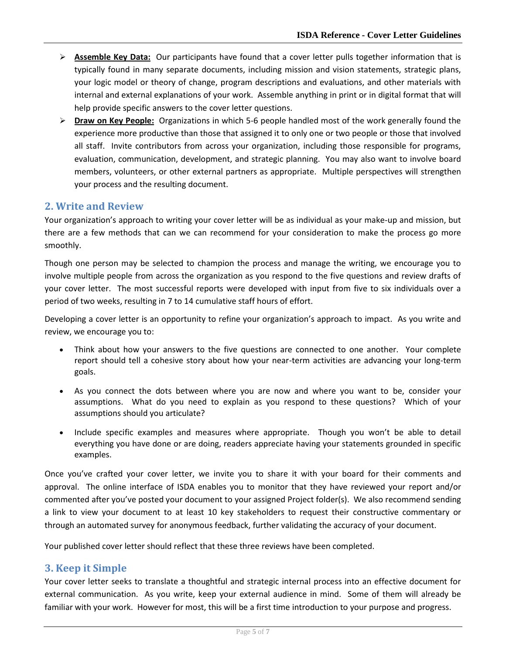- **Assemble Key Data:** Our participants have found that a cover letter pulls together information that is typically found in many separate documents, including mission and vision statements, strategic plans, your logic model or theory of change, program descriptions and evaluations, and other materials with internal and external explanations of your work. Assemble anything in print or in digital format that will help provide specific answers to the cover letter questions.
- **Draw on Key People:** Organizations in which 5-6 people handled most of the work generally found the experience more productive than those that assigned it to only one or two people or those that involved all staff. Invite contributors from across your organization, including those responsible for programs, evaluation, communication, development, and strategic planning. You may also want to involve board members, volunteers, or other external partners as appropriate. Multiple perspectives will strengthen your process and the resulting document.

## <span id="page-4-0"></span>**2. Write and Review**

Your organization's approach to writing your cover letter will be as individual as your make-up and mission, but there are a few methods that can we can recommend for your consideration to make the process go more smoothly.

Though one person may be selected to champion the process and manage the writing, we encourage you to involve multiple people from across the organization as you respond to the five questions and review drafts of your cover letter. The most successful reports were developed with input from five to six individuals over a period of two weeks, resulting in 7 to 14 cumulative staff hours of effort.

Developing a cover letter is an opportunity to refine your organization's approach to impact. As you write and review, we encourage you to:

- Think about how your answers to the five questions are connected to one another. Your complete report should tell a cohesive story about how your near-term activities are advancing your long-term goals.
- As you connect the dots between where you are now and where you want to be, consider your assumptions. What do you need to explain as you respond to these questions? Which of your assumptions should you articulate?
- Include specific examples and measures where appropriate. Though you won't be able to detail everything you have done or are doing, readers appreciate having your statements grounded in specific examples.

Once you've crafted your cover letter, we invite you to share it with your board for their comments and approval. The online interface of ISDA enables you to monitor that they have reviewed your report and/or commented after you've posted your document to your assigned Project folder(s). We also recommend sending a link to view your document to at least 10 key stakeholders to request their constructive commentary or through an automated survey for anonymous feedback, further validating the accuracy of your document.

Your published cover letter should reflect that these three reviews have been completed.

## <span id="page-4-1"></span>**3. Keep it Simple**

Your cover letter seeks to translate a thoughtful and strategic internal process into an effective document for external communication. As you write, keep your external audience in mind. Some of them will already be familiar with your work. However for most, this will be a first time introduction to your purpose and progress.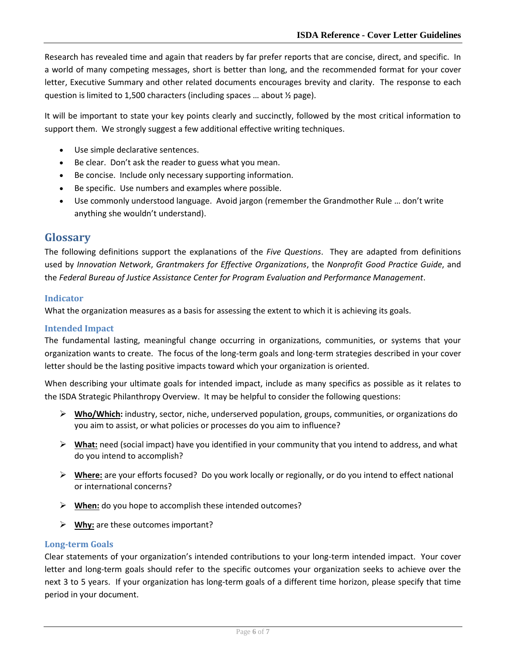Research has revealed time and again that readers by far prefer reports that are concise, direct, and specific. In a world of many competing messages, short is better than long, and the recommended format for your cover letter, Executive Summary and other related documents encourages brevity and clarity. The response to each question is limited to 1,500 characters (including spaces … about ½ page).

It will be important to state your key points clearly and succinctly, followed by the most critical information to support them. We strongly suggest a few additional effective writing techniques.

- Use simple declarative sentences.
- Be clear. Don't ask the reader to guess what you mean.
- Be concise. Include only necessary supporting information.
- Be specific. Use numbers and examples where possible.
- Use commonly understood language. Avoid jargon (remember the Grandmother Rule … don't write anything she wouldn't understand).

## <span id="page-5-0"></span>**Glossary**

The following definitions support the explanations of the *Five Questions*. They are adapted from definitions used by *Innovation Network*, *Grantmakers for Effective Organizations*, the *Nonprofit Good Practice Guide*, and the *Federal Bureau of Justice Assistance Center for Program Evaluation and Performance Management*.

#### <span id="page-5-1"></span>**Indicator**

What the organization measures as a basis for assessing the extent to which it is achieving its goals.

#### <span id="page-5-2"></span>**Intended Impact**

The fundamental lasting, meaningful change occurring in organizations, communities, or systems that your organization wants to create. The focus of the long-term goals and long-term strategies described in your cover letter should be the lasting positive impacts toward which your organization is oriented.

When describing your ultimate goals for intended impact, include as many specifics as possible as it relates to the ISDA Strategic Philanthropy Overview. It may be helpful to consider the following questions:

- **Who/Which:** industry, sector, niche, underserved population, groups, communities, or organizations do you aim to assist, or what policies or processes do you aim to influence?
- **What:** need (social impact) have you identified in your community that you intend to address, and what do you intend to accomplish?
- **Where:** are your efforts focused? Do you work locally or regionally, or do you intend to effect national or international concerns?
- **When:** do you hope to accomplish these intended outcomes?
- **Why:** are these outcomes important?

#### <span id="page-5-3"></span>**Long-term Goals**

Clear statements of your organization's intended contributions to your long-term intended impact. Your cover letter and long-term goals should refer to the specific outcomes your organization seeks to achieve over the next 3 to 5 years. If your organization has long-term goals of a different time horizon, please specify that time period in your document.